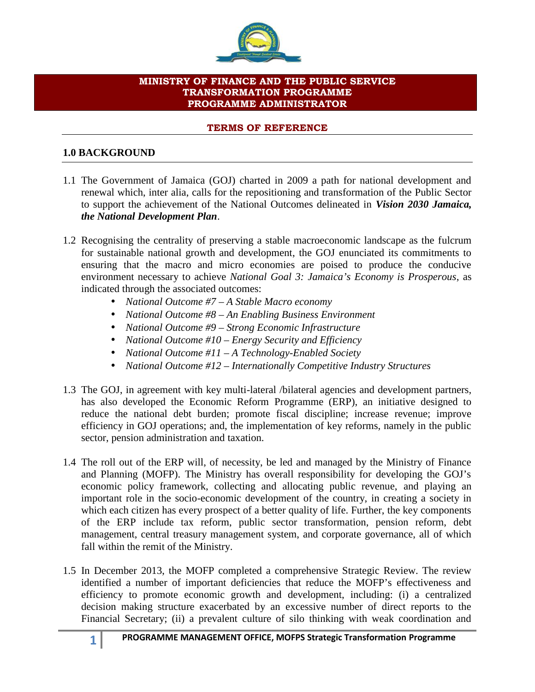

### **MINISTRY OF FINANCE AND THE PUBLIC SERVICE TRANSFORMATION PROGRAMME PROGRAMME ADMINISTRATOR**

### **TERMS OF REFERENCE**

### **1.0 BACKGROUND**

- 1.1 The Government of Jamaica (GOJ) charted in 2009 a path for national development and renewal which, inter alia, calls for the repositioning and transformation of the Public Sector to support the achievement of the National Outcomes delineated in *Vision 2030 Jamaica, the National Development Plan*.
- 1.2 Recognising the centrality of preserving a stable macroeconomic landscape as the fulcrum for sustainable national growth and development, the GOJ enunciated its commitments to ensuring that the macro and micro economies are poised to produce the conducive environment necessary to achieve *National Goal 3: Jamaica's Economy is Prosperous*, as indicated through the associated outcomes:
	- *National Outcome #7 – A Stable Macro economy*
	- *National Outcome #8 – An Enabling Business Environment*
	- *National Outcome #9 – Strong Economic Infrastructure*
	- *National Outcome #10 – Energy Security and Efficiency*
	- *National Outcome #11 – A Technology-Enabled Society*
	- *National Outcome #12 – Internationally Competitive Industry Structures*
- 1.3 The GOJ, in agreement with key multi-lateral /bilateral agencies and development partners, has also developed the Economic Reform Programme (ERP), an initiative designed to reduce the national debt burden; promote fiscal discipline; increase revenue; improve efficiency in GOJ operations; and, the implementation of key reforms, namely in the public sector, pension administration and taxation.
- 1.4 The roll out of the ERP will, of necessity, be led and managed by the Ministry of Finance and Planning (MOFP). The Ministry has overall responsibility for developing the GOJ's economic policy framework, collecting and allocating public revenue, and playing an important role in the socio-economic development of the country, in creating a society in which each citizen has every prospect of a better quality of life. Further, the key components of the ERP include tax reform, public sector transformation, pension reform, debt management, central treasury management system, and corporate governance, all of which fall within the remit of the Ministry.
- 1.5 In December 2013, the MOFP completed a comprehensive Strategic Review. The review identified a number of important deficiencies that reduce the MOFP's effectiveness and efficiency to promote economic growth and development, including: (i) a centralized decision making structure exacerbated by an excessive number of direct reports to the Financial Secretary; (ii) a prevalent culture of silo thinking with weak coordination and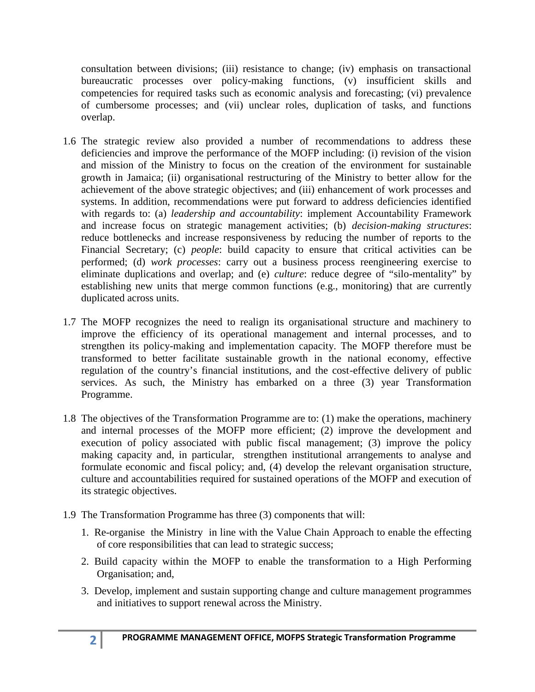consultation between divisions; (iii) resistance to change; (iv) emphasis on transactional bureaucratic processes over policy-making functions, (v) insufficient skills and competencies for required tasks such as economic analysis and forecasting; (vi) prevalence of cumbersome processes; and (vii) unclear roles, duplication of tasks, and functions overlap.

- 1.6 The strategic review also provided a number of recommendations to address these deficiencies and improve the performance of the MOFP including: (i) revision of the vision and mission of the Ministry to focus on the creation of the environment for sustainable growth in Jamaica; (ii) organisational restructuring of the Ministry to better allow for the achievement of the above strategic objectives; and (iii) enhancement of work processes and systems. In addition, recommendations were put forward to address deficiencies identified with regards to: (a) *leadership and accountability*: implement Accountability Framework and increase focus on strategic management activities; (b) *decision-making structures*: reduce bottlenecks and increase responsiveness by reducing the number of reports to the Financial Secretary; (c) *people*: build capacity to ensure that critical activities can be performed; (d) *work processes*: carry out a business process reengineering exercise to eliminate duplications and overlap; and (e) *culture*: reduce degree of "silo-mentality" by establishing new units that merge common functions (e.g., monitoring) that are currently duplicated across units.
- 1.7 The MOFP recognizes the need to realign its organisational structure and machinery to improve the efficiency of its operational management and internal processes, and to strengthen its policy-making and implementation capacity. The MOFP therefore must be transformed to better facilitate sustainable growth in the national economy, effective regulation of the country's financial institutions, and the cost-effective delivery of public services. As such, the Ministry has embarked on a three (3) year Transformation Programme.
- 1.8 The objectives of the Transformation Programme are to: (1) make the operations, machinery and internal processes of the MOFP more efficient; (2) improve the development and execution of policy associated with public fiscal management; (3) improve the policy making capacity and, in particular, strengthen institutional arrangements to analyse and formulate economic and fiscal policy; and, (4) develop the relevant organisation structure, culture and accountabilities required for sustained operations of the MOFP and execution of its strategic objectives.
- 1.9 The Transformation Programme has three (3) components that will:
	- 1. Re-organise the Ministry in line with the Value Chain Approach to enable the effecting of core responsibilities that can lead to strategic success;
	- 2. Build capacity within the MOFP to enable the transformation to a High Performing Organisation; and,
	- 3. Develop, implement and sustain supporting change and culture management programmes and initiatives to support renewal across the Ministry.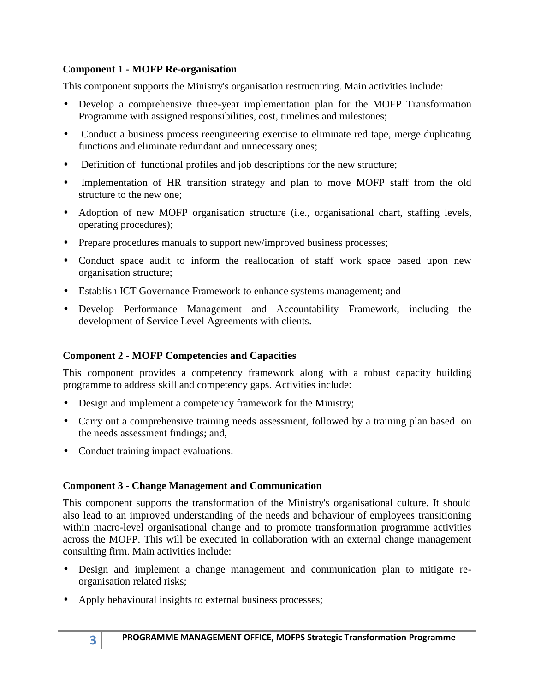### **Component 1 - MOFP Re-organisation**

This component supports the Ministry's organisation restructuring. Main activities include:

- Develop a comprehensive three-year implementation plan for the MOFP Transformation Programme with assigned responsibilities, cost, timelines and milestones;
- Conduct a business process reengineering exercise to eliminate red tape, merge duplicating functions and eliminate redundant and unnecessary ones;
- Definition of functional profiles and job descriptions for the new structure;
- Implementation of HR transition strategy and plan to move MOFP staff from the old structure to the new one;
- Adoption of new MOFP organisation structure (i.e., organisational chart, staffing levels, operating procedures);
- Prepare procedures manuals to support new/improved business processes;
- Conduct space audit to inform the reallocation of staff work space based upon new organisation structure;
- Establish ICT Governance Framework to enhance systems management; and
- Develop Performance Management and Accountability Framework, including the development of Service Level Agreements with clients.

# **Component 2 - MOFP Competencies and Capacities**

This component provides a competency framework along with a robust capacity building programme to address skill and competency gaps. Activities include:

- Design and implement a competency framework for the Ministry;
- Carry out a comprehensive training needs assessment, followed by a training plan based on the needs assessment findings; and,
- Conduct training impact evaluations.

# **Component 3 - Change Management and Communication**

This component supports the transformation of the Ministry's organisational culture. It should also lead to an improved understanding of the needs and behaviour of employees transitioning within macro-level organisational change and to promote transformation programme activities across the MOFP. This will be executed in collaboration with an external change management consulting firm. Main activities include:

- Design and implement a change management and communication plan to mitigate re organisation related risks;
- Apply behavioural insights to external business processes;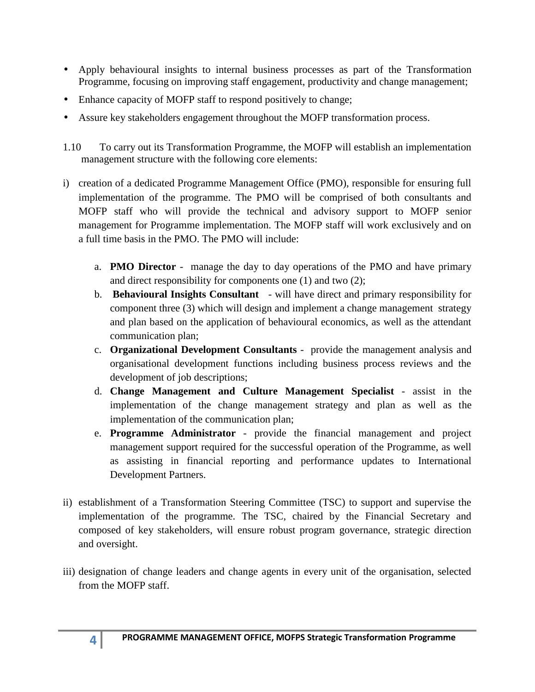- Apply behavioural insights to internal business processes as part of the Transformation Programme, focusing on improving staff engagement, productivity and change management;
- Enhance capacity of MOFP staff to respond positively to change;
- Assure key stakeholders engagement throughout the MOFP transformation process.
- 1.10 To carry out its Transformation Programme, the MOFP will establish an implementation management structure with the following core elements:
- i) creation of a dedicated Programme Management Office (PMO), responsible for ensuring full implementation of the programme. The PMO will be comprised of both consultants and MOFP staff who will provide the technical and advisory support to MOFP senior management for Programme implementation. The MOFP staff will work exclusively and on a full time basis in the PMO. The PMO will include:
	- a. **PMO Director** manage the day to day operations of the PMO and have primary and direct responsibility for components one (1) and two (2);
	- b. **Behavioural Insights Consultant** will have direct and primary responsibility for component three (3) which will design and implement a change management strategy and plan based on the application of behavioural economics, as well as the attendant communication plan;
	- c. **Organizational Development Consultants** provide the management analysis and organisational development functions including business process reviews and the development of job descriptions;
	- d. **Change Management and Culture Management Specialist** assist in the implementation of the change management strategy and plan as well as the implementation of the communication plan;
	- e. **Programme Administrator** provide the financial management and project management support required for the successful operation of the Programme, as well as assisting in financial reporting and performance updates to International Development Partners.
- ii) establishment of a Transformation Steering Committee (TSC) to support and supervise the implementation of the programme. The TSC, chaired by the Financial Secretary and composed of key stakeholders, will ensure robust program governance, strategic direction and oversight.
- iii) designation of change leaders and change agents in every unit of the organisation, selected from the MOFP staff.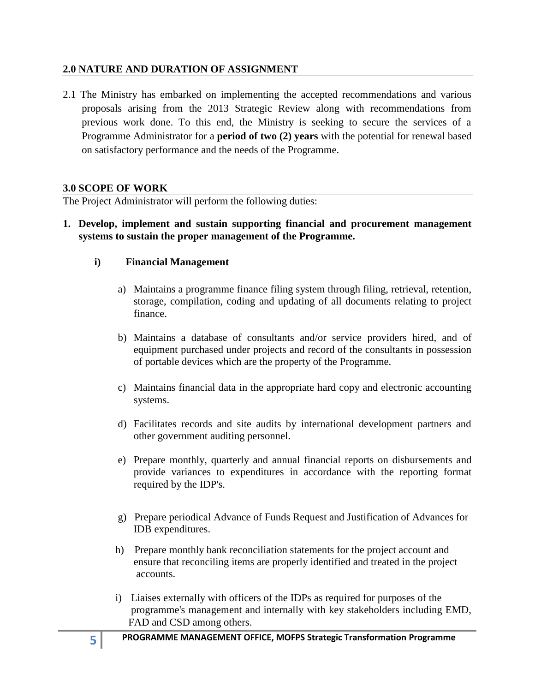### **2.0 NATURE AND DURATION OF ASSIGNMENT**

2.1 The Ministry has embarked on implementing the accepted recommendations and various proposals arising from the 2013 Strategic Review along with recommendations from previous work done. To this end, the Ministry is seeking to secure the services of a Programme Administrator for a **period of two (2) years** with the potential for renewal based on satisfactory performance and the needs of the Programme.

### **3.0 SCOPE OF WORK**

The Project Administrator will perform the following duties:

**1. Develop, implement and sustain supporting financial and procurement management systems to sustain the proper management of the Programme.**

### **i) Financial Management**

- a) Maintains a programme finance filing system through filing, retrieval, retention, storage, compilation, coding and updating of all documents relating to project finance.
- b) Maintains a database of consultants and/or service providers hired, and of equipment purchased under projects and record of the consultants in possession of portable devices which are the property of the Programme.
- c) Maintains financial data in the appropriate hard copy and electronic accounting systems.
- d) Facilitates records and site audits by international development partners and other government auditing personnel.
- e) Prepare monthly, quarterly and annual financial reports on disbursements and provide variances to expenditures in accordance with the reporting format required by the IDP's.
- g) Prepare periodical Advance of Funds Request and Justification of Advances for IDB expenditures.
- h) Prepare monthly bank reconciliation statements for the project account and ensure that reconciling items are properly identified and treated in the project accounts.
- i) Liaises externally with officers of the IDPs as required for purposes of the programme's management and internally with key stakeholders including EMD, FAD and CSD among others.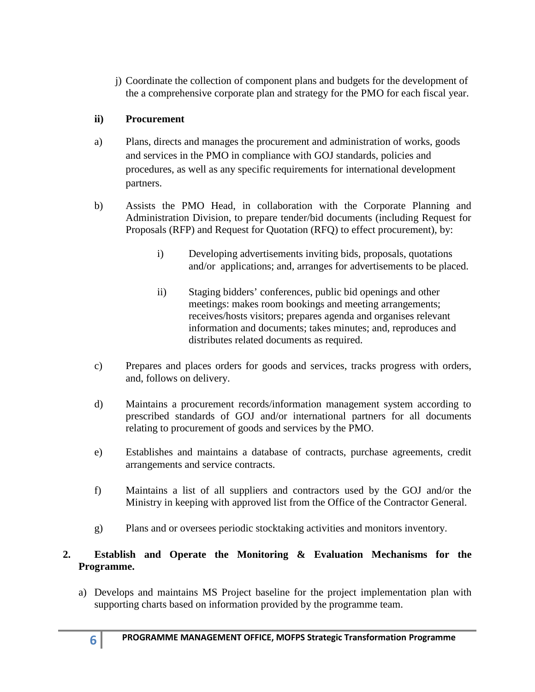j) Coordinate the collection of component plans and budgets for the development of the a comprehensive corporate plan and strategy for the PMO for each fiscal year.

# **ii) Procurement**

- a) Plans, directs and manages the procurement and administration of works, goods and services in the PMO in compliance with GOJ standards, policies and procedures, as well as any specific requirements for international development partners.
- b) Assists the PMO Head, in collaboration with the Corporate Planning and Administration Division, to prepare tender/bid documents (including Request for Proposals (RFP) and Request for Quotation (RFQ) to effect procurement), by:
	- i) Developing advertisements inviting bids, proposals, quotations and/or applications; and, arranges for advertisements to be placed.
	- ii) Staging bidders' conferences, public bid openings and other meetings: makes room bookings and meeting arrangements; receives/hosts visitors; prepares agenda and organises relevant information and documents; takes minutes; and, reproduces and distributes related documents as required.
- c) Prepares and places orders for goods and services, tracks progress with orders, and, follows on delivery.
- d) Maintains a procurement records/information management system according to prescribed standards of GOJ and/or international partners for all documents relating to procurement of goods and services by the PMO.
- e) Establishes and maintains a database of contracts, purchase agreements, credit arrangements and service contracts.
- f) Maintains a list of all suppliers and contractors used by the GOJ and/or the Ministry in keeping with approved list from the Office of the Contractor General.
- g) Plans and or oversees periodic stocktaking activities and monitors inventory.

# **2. Establish and Operate the Monitoring & Evaluation Mechanisms for the Programme.**

a) Develops and maintains MS Project baseline for the project implementation plan with supporting charts based on information provided by the programme team.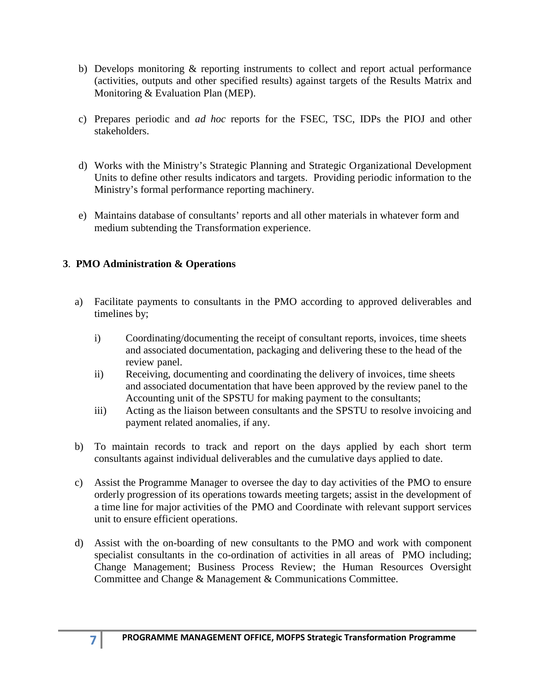- b) Develops monitoring & reporting instruments to collect and report actual performance (activities, outputs and other specified results) against targets of the Results Matrix and Monitoring & Evaluation Plan (MEP).
- c) Prepares periodic and *ad hoc* reports for the FSEC, TSC, IDPs the PIOJ and other stakeholders.
- d) Works with the Ministry's Strategic Planning and Strategic Organizational Development Units to define other results indicators and targets. Providing periodic information to the Ministry's formal performance reporting machinery.
- e) Maintains database of consultants' reports and all other materials in whatever form and medium subtending the Transformation experience.

# **3**. **PMO Administration & Operations**

- a) Facilitate payments to consultants in the PMO according to approved deliverables and timelines by;
	- i) Coordinating/documenting the receipt of consultant reports, invoices, time sheets and associated documentation, packaging and delivering these to the head of the review panel.
	- ii) Receiving, documenting and coordinating the delivery of invoices, time sheets and associated documentation that have been approved by the review panel to the Accounting unit of the SPSTU for making payment to the consultants;
	- iii) Acting as the liaison between consultants and the SPSTU to resolve invoicing and payment related anomalies, if any.
- b) To maintain records to track and report on the days applied by each short term consultants against individual deliverables and the cumulative days applied to date.
- c) Assist the Programme Manager to oversee the day to day activities of the PMO to ensure orderly progression of its operations towards meeting targets; assist in the development of a time line for major activities of the PMO and Coordinate with relevant support services unit to ensure efficient operations.
- d) Assist with the on-boarding of new consultants to the PMO and work with component specialist consultants in the co-ordination of activities in all areas of PMO including; Change Management; Business Process Review; the Human Resources Oversight Committee and Change & Management & Communications Committee.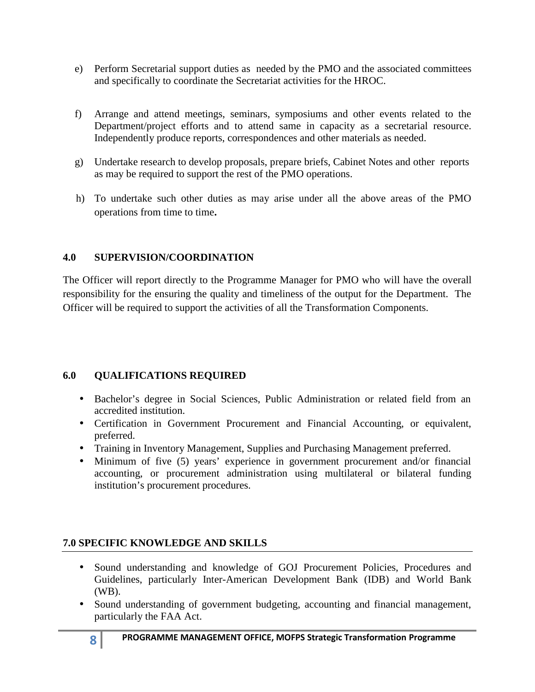- e) Perform Secretarial support duties as needed by the PMO and the associated committees and specifically to coordinate the Secretariat activities for the HROC.
- f) Arrange and attend meetings, seminars, symposiums and other events related to the Department/project efforts and to attend same in capacity as a secretarial resource. Independently produce reports, correspondences and other materials as needed.
- g) Undertake research to develop proposals, prepare briefs, Cabinet Notes and other reports as may be required to support the rest of the PMO operations.
- h) To undertake such other duties as may arise under all the above areas of the PMO operations from time to time**.**

### **4.0 SUPERVISION/COORDINATION**

The Officer will report directly to the Programme Manager for PMO who will have the overall responsibility for the ensuring the quality and timeliness of the output for the Department. The Officer will be required to support the activities of all the Transformation Components.

### **6.0 QUALIFICATIONS REQUIRED**

- Bachelor's degree in Social Sciences, Public Administration or related field from an accredited institution.
- Certification in Government Procurement and Financial Accounting, or equivalent, preferred.
- Training in Inventory Management, Supplies and Purchasing Management preferred.
- Minimum of five (5) years' experience in government procurement and/or financial accounting, or procurement administration using multilateral or bilateral funding institution's procurement procedures.

# **7.0 SPECIFIC KNOWLEDGE AND SKILLS**

- Sound understanding and knowledge of GOJ Procurement Policies, Procedures and Guidelines, particularly Inter-American Development Bank (IDB) and World Bank (WB).
- Sound understanding of government budgeting, accounting and financial management, particularly the FAA Act.